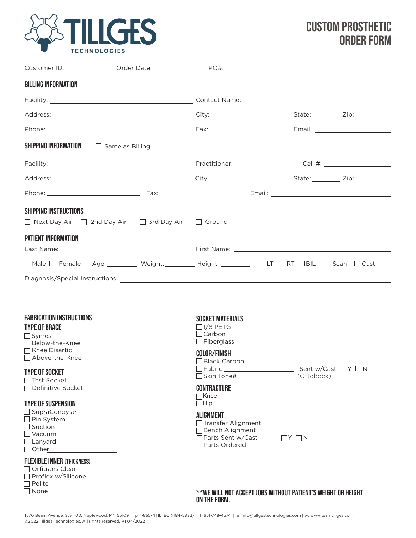

## CUSTOM prosthetic ORDER FORM

| <b>BILLING INFORMATION</b>                                                                                                                                                   |                                                                                                                                        |                                                              |  |
|------------------------------------------------------------------------------------------------------------------------------------------------------------------------------|----------------------------------------------------------------------------------------------------------------------------------------|--------------------------------------------------------------|--|
|                                                                                                                                                                              |                                                                                                                                        |                                                              |  |
|                                                                                                                                                                              |                                                                                                                                        |                                                              |  |
|                                                                                                                                                                              |                                                                                                                                        |                                                              |  |
| SHIPPING INFORMATION <b>Same as Billing</b>                                                                                                                                  |                                                                                                                                        |                                                              |  |
|                                                                                                                                                                              |                                                                                                                                        |                                                              |  |
|                                                                                                                                                                              |                                                                                                                                        |                                                              |  |
|                                                                                                                                                                              |                                                                                                                                        |                                                              |  |
| <b>SHIPPING INSTRUCTIONS</b><br>$\Box$ Next Day Air $\Box$ 2nd Day Air $\Box$ 3rd Day Air $\Box$ Ground                                                                      |                                                                                                                                        |                                                              |  |
| <b>PATIENT INFORMATION</b>                                                                                                                                                   |                                                                                                                                        |                                                              |  |
| □Male □ Female Age: Weight: _________ Height: _________ □ LT □RT □BIL □ Scan □ Cast                                                                                          |                                                                                                                                        |                                                              |  |
| Diagnosis/Special Instructions: 2008 2009 2009 2009 2009 2010 2011 2020 2031 2040 2040 2040 2040 2040 2040 204                                                               |                                                                                                                                        |                                                              |  |
| <b>FABRICATION INSTRUCTIONS</b><br><b>TYPE OF BRACE</b><br>$\Box$ Symes<br>□ Below-the-Knee<br>□ Knee Disartic<br>□ Above-the-Knee<br><b>TYPE OF SOCKET</b><br>□ Test Socket | <b>SOCKET MATERIALS</b><br>$\Box$ 1/8 PETG<br>$\Box$ Carbon<br>$\Box$ Fiberglass<br><b>COLOR/FINISH</b><br>$\Box$ Black Carbon         |                                                              |  |
| □ Definitive Socket<br><b>TYPE OF SUSPENSION</b><br>□ SupraCondylar<br>$\Box$ Pin System<br>$\Box$ Suction<br>$\Box$ Vacuum<br>$\Box$ Lanyard<br>$\Box$ Other                | <b>CONTRACTURE</b><br>■Knee<br><b>ALIGNMENT</b><br>□ Transfer Alignment<br>□ Bench Alignment<br>□ Parts Sent w/Cast<br>□ Parts Ordered | $\Box$ Y $\Box$ N                                            |  |
| <b>FLEXIBLE INNER (THICKNESS)</b><br>$\Box$ Orfitrans Clear<br>□ Proflex w/Silicone<br>$\Box$ Pelite<br>$\Box$ None                                                          |                                                                                                                                        | **WE WILL NOT ACCEPT JOBS WITHOUT PATIENT'S WEIGHT OR HEIGHT |  |

WE WILL NOT ACCEPT JOBS WITHOUT PATIENT'S WEIGHT OR HEIGHT: ON THE FORM.